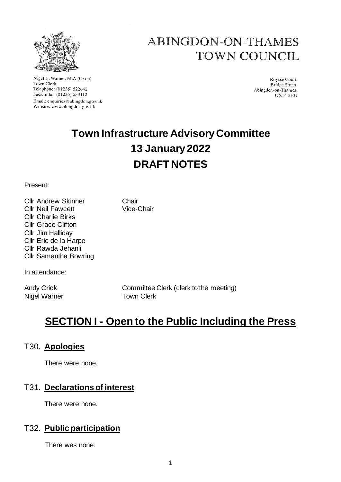

Nigel E. Warner, M.A.(Oxon) Town Clerk Telephone: (01235) 522642 Facsimile: (01235) 533112 Email: enquiries@abingdon.gov.uk Website: www.abingdon.gov.uk

# ABINGDON-ON-THAMES **TOWN COUNCIL**

Roysse Court. Bridge Street, Abingdon-on-Thames. OX14 3HU

# **Town Infrastructure Advisory Committee 13 January 2022 DRAFT NOTES**

Present:

Cllr Andrew Skinner Chair Cllr Neil Fawcett Vice-Chair Cllr Charlie Birks Cllr Grace Clifton Cllr Jim Halliday Cllr Eric de la Harpe Cllr Rawda Jehanli Cllr Samantha Bowring

In attendance:

Nigel Warner Town Clerk

Andy Crick Committee Clerk (clerk to the meeting)

## **SECTION I - Open to the Public Including the Press**

#### T30. **Apologies**

There were none.

## T31. **Declarations of interest**

There were none.

## T32. **Public participation**

There was none.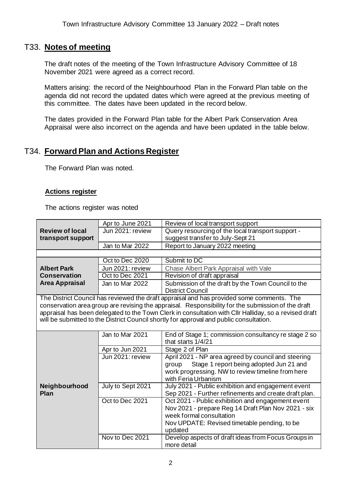#### T33. **Notes of meeting**

The draft notes of the meeting of the Town Infrastructure Advisory Committee of 18 November 2021 were agreed as a correct record.

Matters arising: the record of the Neighbourhood Plan in the Forward Plan table on the agenda did not record the updated dates which were agreed at the previous meeting of this committee. The dates have been updated in the record below.

The dates provided in the Forward Plan table for the Albert Park Conservation Area Appraisal were also incorrect on the agenda and have been updated in the table below.

#### T34. **Forward Plan and Actions Register**

The Forward Plan was noted.

#### **Actions register**

The actions register was noted

|                                                                                                                                                                                                                                                                                                                                                                                                                                                                                | Apr to June 2021  | Review of local transport support                                                                                                                                                               |  |
|--------------------------------------------------------------------------------------------------------------------------------------------------------------------------------------------------------------------------------------------------------------------------------------------------------------------------------------------------------------------------------------------------------------------------------------------------------------------------------|-------------------|-------------------------------------------------------------------------------------------------------------------------------------------------------------------------------------------------|--|
| <b>Review of local</b>                                                                                                                                                                                                                                                                                                                                                                                                                                                         | Jun 2021: review  | Query resourcing of the local transport support -                                                                                                                                               |  |
| transport support                                                                                                                                                                                                                                                                                                                                                                                                                                                              |                   | suggest transfer to July-Sept 21                                                                                                                                                                |  |
|                                                                                                                                                                                                                                                                                                                                                                                                                                                                                | Jan to Mar 2022   | Report to January 2022 meeting                                                                                                                                                                  |  |
|                                                                                                                                                                                                                                                                                                                                                                                                                                                                                |                   |                                                                                                                                                                                                 |  |
|                                                                                                                                                                                                                                                                                                                                                                                                                                                                                | Oct to Dec 2020   | Submit to DC                                                                                                                                                                                    |  |
| <b>Albert Park</b>                                                                                                                                                                                                                                                                                                                                                                                                                                                             | Jun 2021: review  | Chase Albert Park Appraisal with Vale                                                                                                                                                           |  |
| <b>Conservation</b>                                                                                                                                                                                                                                                                                                                                                                                                                                                            | Oct to Dec 2021   | Revision of draft appraisal                                                                                                                                                                     |  |
| <b>Area Appraisal</b>                                                                                                                                                                                                                                                                                                                                                                                                                                                          | Jan to Mar 2022   | Submission of the draft by the Town Council to the<br><b>District Council</b>                                                                                                                   |  |
| The District Council has reviewed the draft appraisal and has provided some comments. The<br>conservation area group are revising the appraisal. Responsibility for the submission of the draft<br>appraisal has been delegated to the Town Clerk in consultation with Cllr Halliday, so a revised draft<br>will be submitted to the District Council shortly for approval and public consultation.<br>Jan to Mar 2021<br>End of Stage 1; commission consultancy re stage 2 so |                   |                                                                                                                                                                                                 |  |
|                                                                                                                                                                                                                                                                                                                                                                                                                                                                                |                   | that starts 1/4/21                                                                                                                                                                              |  |
|                                                                                                                                                                                                                                                                                                                                                                                                                                                                                | Apr to Jun 2021   | Stage 2 of Plan                                                                                                                                                                                 |  |
|                                                                                                                                                                                                                                                                                                                                                                                                                                                                                | Jun 2021: review  | April 2021 - NP area agreed by council and steering<br>Stage 1 report being adopted Jun 21 and<br>group<br>work progressing. NW to review timeline from here<br>with Feria Urbanism             |  |
| Neighbourhood<br>Plan                                                                                                                                                                                                                                                                                                                                                                                                                                                          | July to Sept 2021 | July 2021 - Public exhibition and engagement event<br>Sep 2021 - Further refinements and create draft plan.                                                                                     |  |
|                                                                                                                                                                                                                                                                                                                                                                                                                                                                                | Oct to Dec 2021   | Oct 2021 - Public exhibition and engagement event<br>Nov 2021 - prepare Reg 14 Draft Plan Nov 2021 - six<br>week formal consultation<br>Nov UPDATE: Revised timetable pending, to be<br>updated |  |
|                                                                                                                                                                                                                                                                                                                                                                                                                                                                                | Nov to Dec 2021   | Develop aspects of draft ideas from Focus Groups in<br>more detail                                                                                                                              |  |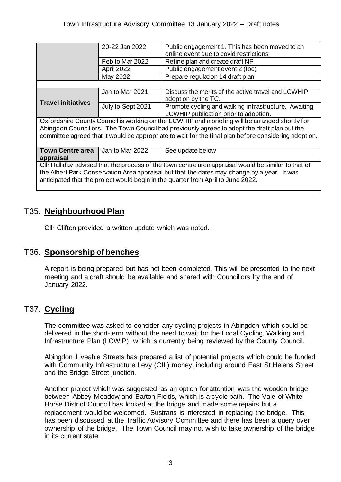|                                                                                                                                                                                                                                                                                         | 20-22 Jan 2022    | Public engagement 1. This has been moved to an                                                |  |
|-----------------------------------------------------------------------------------------------------------------------------------------------------------------------------------------------------------------------------------------------------------------------------------------|-------------------|-----------------------------------------------------------------------------------------------|--|
|                                                                                                                                                                                                                                                                                         |                   | online event due to covid restrictions                                                        |  |
|                                                                                                                                                                                                                                                                                         | Feb to Mar 2022   | Refine plan and create draft NP                                                               |  |
|                                                                                                                                                                                                                                                                                         | April 2022        | Public engagement event 2 (tbc)                                                               |  |
|                                                                                                                                                                                                                                                                                         | May 2022          | Prepare regulation 14 draft plan                                                              |  |
|                                                                                                                                                                                                                                                                                         |                   |                                                                                               |  |
| <b>Travel initiatives</b>                                                                                                                                                                                                                                                               | Jan to Mar 2021   | Discuss the merits of the active travel and LCWHIP<br>adoption by the TC.                     |  |
|                                                                                                                                                                                                                                                                                         | July to Sept 2021 | Promote cycling and walking infrastructure. Awaiting<br>LCWHIP publication prior to adoption. |  |
| Oxfordshire County Council is working on the LCWHIP and a briefing will be arranged shortly for                                                                                                                                                                                         |                   |                                                                                               |  |
| Abingdon Councillors. The Town Council had previously agreed to adopt the draft plan but the                                                                                                                                                                                            |                   |                                                                                               |  |
| committee agreed that it would be appropriate to wait for the final plan before considering adoption.                                                                                                                                                                                   |                   |                                                                                               |  |
|                                                                                                                                                                                                                                                                                         |                   |                                                                                               |  |
| <b>Town Centre area</b>                                                                                                                                                                                                                                                                 | Jan to Mar 2022   | See update below                                                                              |  |
| appraisal                                                                                                                                                                                                                                                                               |                   |                                                                                               |  |
| CIIr Halliday advised that the process of the town centre area appraisal would be similar to that of<br>the Albert Park Conservation Area appraisal but that the dates may change by a year. It was<br>anticipated that the project would begin in the quarter from April to June 2022. |                   |                                                                                               |  |

## T35. **Neighbourhood Plan**

Cllr Clifton provided a written update which was noted.

## T36. **Sponsorship of benches**

A report is being prepared but has not been completed. This will be presented to the next meeting and a draft should be available and shared with Councillors by the end of January 2022.

## T37. **Cycling**

The committee was asked to consider any cycling projects in Abingdon which could be delivered in the short-term without the need to wait for the Local Cycling, Walking and Infrastructure Plan (LCWIP), which is currently being reviewed by the County Council.

Abingdon Liveable Streets has prepared a list of potential projects which could be funded with Community Infrastructure Levy (CIL) money, including around East St Helens Street and the Bridge Street junction.

Another project which was suggested as an option for attention was the wooden bridge between Abbey Meadow and Barton Fields, which is a cycle path. The Vale of White Horse District Council has looked at the bridge and made some repairs but a replacement would be welcomed. Sustrans is interested in replacing the bridge. This has been discussed at the Traffic Advisory Committee and there has been a query over ownership of the bridge. The Town Council may not wish to take ownership of the bridge in its current state.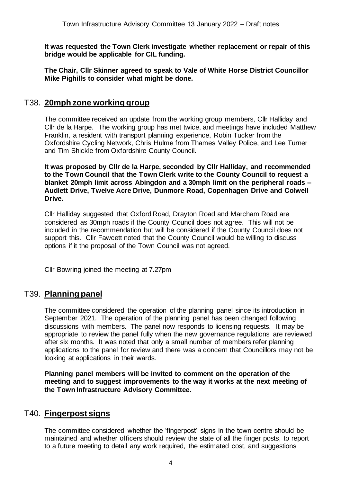**It was requested the Town Clerk investigate whether replacement or repair of this bridge would be applicable for CIL funding.**

**The Chair, Cllr Skinner agreed to speak to Vale of White Horse District Councillor Mike Pighills to consider what might be done.**

#### T38. **20mph zone working group**

The committee received an update from the working group members, Cllr Halliday and Cllr de la Harpe. The working group has met twice, and meetings have included Matthew Franklin, a resident with transport planning experience, Robin Tucker from the Oxfordshire Cycling Network, Chris Hulme from Thames Valley Police, and Lee Turner and Tim Shickle from Oxfordshire County Council.

**It was proposed by Cllr de la Harpe, seconded by Cllr Halliday, and recommended to the Town Council that the Town Clerk write to the County Council to request a blanket 20mph limit across Abingdon and a 30mph limit on the peripheral roads – Audlett Drive, Twelve Acre Drive, Dunmore Road, Copenhagen Drive and Colwell Drive.**

Cllr Halliday suggested that Oxford Road, Drayton Road and Marcham Road are considered as 30mph roads if the County Council does not agree. This will not be included in the recommendation but will be considered if the County Council does not support this. Cllr Fawcett noted that the County Council would be willing to discuss options if it the proposal of the Town Council was not agreed.

Cllr Bowring joined the meeting at 7.27pm

#### T39. **Planning panel**

The committee considered the operation of the planning panel since its introduction in September 2021. The operation of the planning panel has been changed following discussions with members. The panel now responds to licensing requests. It may be appropriate to review the panel fully when the new governance regulations are reviewed after six months. It was noted that only a small number of members refer planning applications to the panel for review and there was a concern that Councillors may not be looking at applications in their wards.

**Planning panel members will be invited to comment on the operation of the meeting and to suggest improvements to the way it works at the next meeting of the Town Infrastructure Advisory Committee.**

#### T40. **Fingerpost signs**

The committee considered whether the 'fingerpost' signs in the town centre should be maintained and whether officers should review the state of all the finger posts, to report to a future meeting to detail any work required, the estimated cost, and suggestions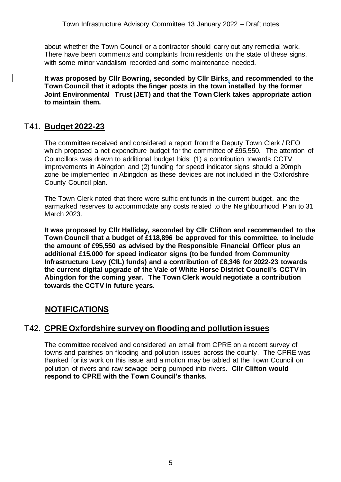about whether the Town Council or a contractor should carry out any remedial work. There have been comments and complaints from residents on the state of these signs, with some minor vandalism recorded and some maintenance needed.

**It was proposed by Cllr Bowring, seconded by Cllr Birks, and recommended to the Town Council that it adopts the finger posts in the town installed by the former Joint Environmental Trust (JET) and that the Town Clerk takes appropriate action to maintain them.**

#### T41. **Budget 2022-23**

The committee received and considered a report from the Deputy Town Clerk / RFO which proposed a net expenditure budget for the committee of £95,550. The attention of Councillors was drawn to additional budget bids: (1) a contribution towards CCTV improvements in Abingdon and (2) funding for speed indicator signs should a 20mph zone be implemented in Abingdon as these devices are not included in the Oxfordshire County Council plan.

The Town Clerk noted that there were sufficient funds in the current budget, and the earmarked reserves to accommodate any costs related to the Neighbourhood Plan to 31 March 2023.

**It was proposed by Cllr Halliday, seconded by Cllr Clifton and recommended to the Town Council that a budget of £118,896 be approved for this committee, to include the amount of £95,550 as advised by the Responsible Financial Officer plus an additional £15,000 for speed indicator signs (to be funded from Community Infrastructure Levy (CIL) funds) and a contribution of £8,346 for 2022-23 towards the current digital upgrade of the Vale of White Horse District Council's CCTV in Abingdon for the coming year. The Town Clerk would negotiate a contribution towards the CCTV in future years.**

## **NOTIFICATIONS**

#### T42. **CPRE Oxfordshire survey on flooding and pollution issues**

The committee received and considered an email from CPRE on a recent survey of towns and parishes on flooding and pollution issues across the county. The CPRE was thanked for its work on this issue and a motion may be tabled at the Town Council on pollution of rivers and raw sewage being pumped into rivers. **Cllr Clifton would respond to CPRE with the Town Council's thanks.**